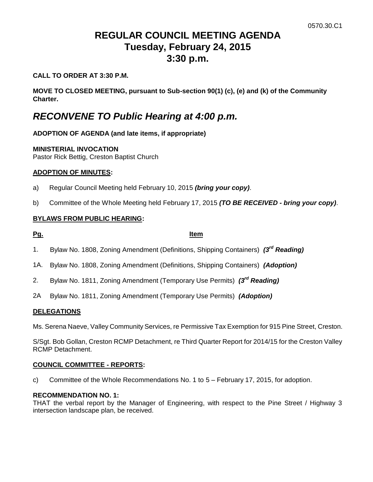# **REGULAR COUNCIL MEETING AGENDA Tuesday, February 24, 2015 3:30 p.m.**

### **CALL TO ORDER AT 3:30 P.M.**

**MOVE TO CLOSED MEETING, pursuant to Sub-section 90(1) (c), (e) and (k) of the Community Charter.**

# *RECONVENE TO Public Hearing at 4:00 p.m.*

# **ADOPTION OF AGENDA (and late items, if appropriate)**

### **MINISTERIAL INVOCATION**

Pastor Rick Bettig, Creston Baptist Church

### **ADOPTION OF MINUTES:**

- a) Regular Council Meeting held February 10, 2015 *(bring your copy)*.
- b) Committee of the Whole Meeting held February 17, 2015 *(TO BE RECEIVED - bring your copy)*.

### **BYLAWS FROM PUBLIC HEARING:**

### **Pg. Item**

- 1. Bylaw No. 1808, Zoning Amendment (Definitions, Shipping Containers) *(3rd Reading)*
- 1A. Bylaw No. 1808, Zoning Amendment (Definitions, Shipping Containers) *(Adoption)*
- 2. Bylaw No. 1811, Zoning Amendment (Temporary Use Permits) *(3rd Reading)*
- 2A Bylaw No. 1811, Zoning Amendment (Temporary Use Permits) *(Adoption)*

### **DELEGATIONS**

Ms. Serena Naeve, Valley Community Services, re Permissive Tax Exemption for 915 Pine Street, Creston.

S/Sgt. Bob Gollan, Creston RCMP Detachment, re Third Quarter Report for 2014/15 for the Creston Valley RCMP Detachment.

### **COUNCIL COMMITTEE - REPORTS:**

c) Committee of the Whole Recommendations No. 1 to 5 – February 17, 2015, for adoption.

### **RECOMMENDATION NO. 1:**

THAT the verbal report by the Manager of Engineering, with respect to the Pine Street / Highway 3 intersection landscape plan, be received.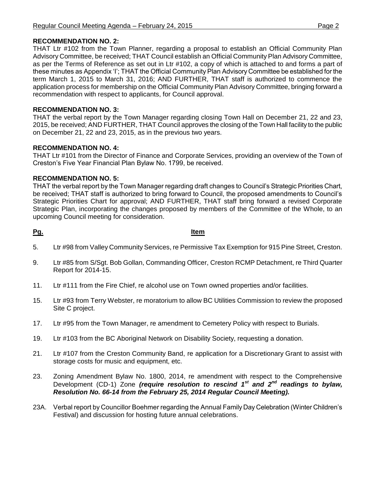## **RECOMMENDATION NO. 2:**

THAT Ltr #102 from the Town Planner, regarding a proposal to establish an Official Community Plan Advisory Committee, be received; THAT Council establish an Official Community Plan Advisory Committee, as per the Terms of Reference as set out in Ltr #102, a copy of which is attached to and forms a part of these minutes as Appendix 'I'; THAT the Official Community Plan Advisory Committee be established for the term March 1, 2015 to March 31, 2016; AND FURTHER, THAT staff is authorized to commence the application process for membership on the Official Community Plan Advisory Committee, bringing forward a recommendation with respect to applicants, for Council approval.

# **RECOMMENDATION NO. 3:**

THAT the verbal report by the Town Manager regarding closing Town Hall on December 21, 22 and 23, 2015, be received; AND FURTHER, THAT Council approves the closing of the Town Hall facility to the public on December 21, 22 and 23, 2015, as in the previous two years.

# **RECOMMENDATION NO. 4:**

THAT Ltr #101 from the Director of Finance and Corporate Services, providing an overview of the Town of Creston's Five Year Financial Plan Bylaw No. 1799, be received.

# **RECOMMENDATION NO. 5:**

THAT the verbal report by the Town Manager regarding draft changes to Council's Strategic Priorities Chart, be received; THAT staff is authorized to bring forward to Council, the proposed amendments to Council's Strategic Priorities Chart for approval; AND FURTHER, THAT staff bring forward a revised Corporate Strategic Plan, incorporating the changes proposed by members of the Committee of the Whole, to an upcoming Council meeting for consideration.

### **Pg. Item**

- 5. Ltr #98 from Valley Community Services, re Permissive Tax Exemption for 915 Pine Street, Creston.
- 9. Ltr #85 from S/Sgt. Bob Gollan, Commanding Officer, Creston RCMP Detachment, re Third Quarter Report for 2014-15.
- 11. Ltr #111 from the Fire Chief, re alcohol use on Town owned properties and/or facilities.
- 15. Ltr #93 from Terry Webster, re moratorium to allow BC Utilities Commission to review the proposed Site C project.
- 17. Ltr #95 from the Town Manager, re amendment to Cemetery Policy with respect to Burials.
- 19. Ltr #103 from the BC Aboriginal Network on Disability Society, requesting a donation.
- 21. Ltr #107 from the Creston Community Band, re application for a Discretionary Grant to assist with storage costs for music and equipment, etc.
- 23. Zoning Amendment Bylaw No. 1800, 2014, re amendment with respect to the Comprehensive Development (CD-1) Zone *(require resolution to rescind 1st and 2nd readings to bylaw, Resolution No. 66-14 from the February 25, 2014 Regular Council Meeting).*
- 23A. Verbal report by Councillor Boehmer regarding the Annual Family Day Celebration (Winter Children's Festival) and discussion for hosting future annual celebrations.